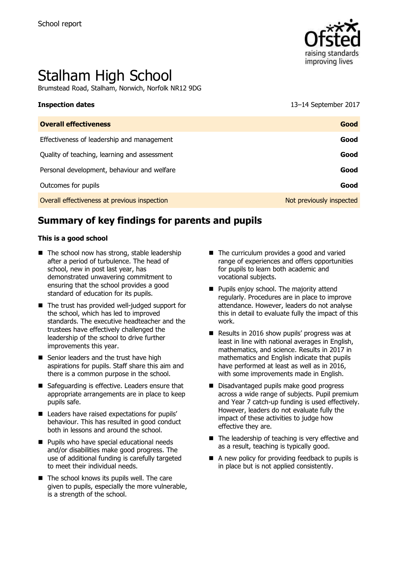

# Stalham High School

Brumstead Road, Stalham, Norwich, Norfolk NR12 9DG

**Inspection dates** 13–14 September 2017

| <b>Overall effectiveness</b>                 | Good                     |
|----------------------------------------------|--------------------------|
| Effectiveness of leadership and management   | Good                     |
| Quality of teaching, learning and assessment | Good                     |
| Personal development, behaviour and welfare  | Good                     |
| Outcomes for pupils                          | Good                     |
| Overall effectiveness at previous inspection | Not previously inspected |

## **Summary of key findings for parents and pupils**

#### **This is a good school**

- $\blacksquare$  The school now has strong, stable leadership after a period of turbulence. The head of school, new in post last year, has demonstrated unwavering commitment to ensuring that the school provides a good standard of education for its pupils.
- The trust has provided well-judged support for the school, which has led to improved standards. The executive headteacher and the trustees have effectively challenged the leadership of the school to drive further improvements this year.
- Senior leaders and the trust have high aspirations for pupils. Staff share this aim and there is a common purpose in the school.
- Safeguarding is effective. Leaders ensure that appropriate arrangements are in place to keep pupils safe.
- Leaders have raised expectations for pupils' behaviour. This has resulted in good conduct both in lessons and around the school.
- **Pupils who have special educational needs** and/or disabilities make good progress. The use of additional funding is carefully targeted to meet their individual needs.
- $\blacksquare$  The school knows its pupils well. The care given to pupils, especially the more vulnerable, is a strength of the school.
- The curriculum provides a good and varied range of experiences and offers opportunities for pupils to learn both academic and vocational subjects.
- **Pupils enjoy school. The majority attend** regularly. Procedures are in place to improve attendance. However, leaders do not analyse this in detail to evaluate fully the impact of this work.
- Results in 2016 show pupils' progress was at least in line with national averages in English, mathematics, and science. Results in 2017 in mathematics and English indicate that pupils have performed at least as well as in 2016, with some improvements made in English.
- Disadvantaged pupils make good progress across a wide range of subjects. Pupil premium and Year 7 catch-up funding is used effectively. However, leaders do not evaluate fully the impact of these activities to judge how effective they are.
- $\blacksquare$  The leadership of teaching is very effective and as a result, teaching is typically good.
- A new policy for providing feedback to pupils is in place but is not applied consistently.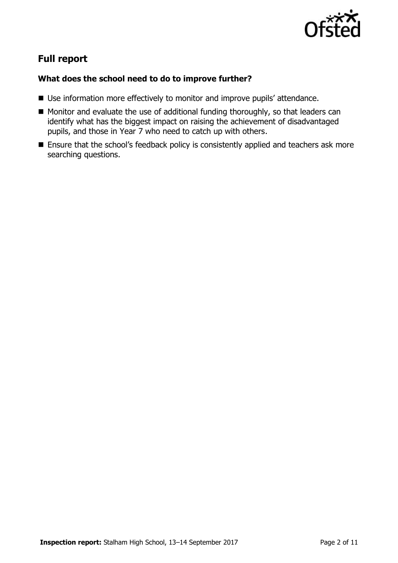

## **Full report**

### **What does the school need to do to improve further?**

- Use information more effectively to monitor and improve pupils' attendance.
- Monitor and evaluate the use of additional funding thoroughly, so that leaders can identify what has the biggest impact on raising the achievement of disadvantaged pupils, and those in Year 7 who need to catch up with others.
- **Ensure that the school's feedback policy is consistently applied and teachers ask more** searching questions.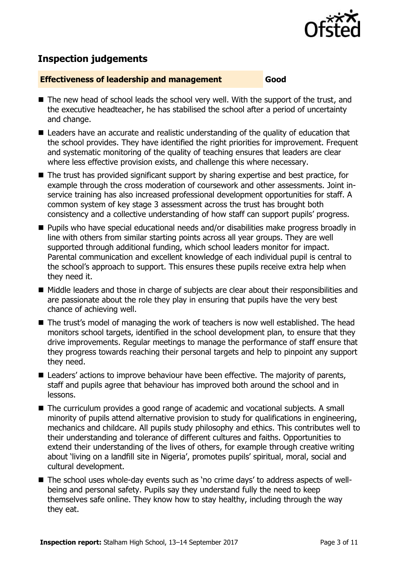

## **Inspection judgements**

#### **Effectiveness of leadership and management Good**

- The new head of school leads the school very well. With the support of the trust, and the executive headteacher, he has stabilised the school after a period of uncertainty and change.
- Leaders have an accurate and realistic understanding of the quality of education that the school provides. They have identified the right priorities for improvement. Frequent and systematic monitoring of the quality of teaching ensures that leaders are clear where less effective provision exists, and challenge this where necessary.
- The trust has provided significant support by sharing expertise and best practice, for example through the cross moderation of coursework and other assessments. Joint inservice training has also increased professional development opportunities for staff. A common system of key stage 3 assessment across the trust has brought both consistency and a collective understanding of how staff can support pupils' progress.
- Pupils who have special educational needs and/or disabilities make progress broadly in line with others from similar starting points across all year groups. They are well supported through additional funding, which school leaders monitor for impact. Parental communication and excellent knowledge of each individual pupil is central to the school's approach to support. This ensures these pupils receive extra help when they need it.
- Middle leaders and those in charge of subjects are clear about their responsibilities and are passionate about the role they play in ensuring that pupils have the very best chance of achieving well.
- The trust's model of managing the work of teachers is now well established. The head monitors school targets, identified in the school development plan, to ensure that they drive improvements. Regular meetings to manage the performance of staff ensure that they progress towards reaching their personal targets and help to pinpoint any support they need.
- Leaders' actions to improve behaviour have been effective. The majority of parents, staff and pupils agree that behaviour has improved both around the school and in lessons.
- The curriculum provides a good range of academic and vocational subjects. A small minority of pupils attend alternative provision to study for qualifications in engineering, mechanics and childcare. All pupils study philosophy and ethics. This contributes well to their understanding and tolerance of different cultures and faiths. Opportunities to extend their understanding of the lives of others, for example through creative writing about 'living on a landfill site in Nigeria', promotes pupils' spiritual, moral, social and cultural development.
- The school uses whole-day events such as 'no crime days' to address aspects of wellbeing and personal safety. Pupils say they understand fully the need to keep themselves safe online. They know how to stay healthy, including through the way they eat.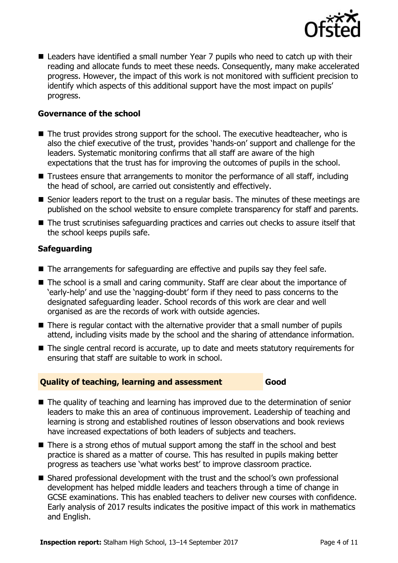

■ Leaders have identified a small number Year 7 pupils who need to catch up with their reading and allocate funds to meet these needs. Consequently, many make accelerated progress. However, the impact of this work is not monitored with sufficient precision to identify which aspects of this additional support have the most impact on pupils' progress.

#### **Governance of the school**

- The trust provides strong support for the school. The executive headteacher, who is also the chief executive of the trust, provides 'hands-on' support and challenge for the leaders. Systematic monitoring confirms that all staff are aware of the high expectations that the trust has for improving the outcomes of pupils in the school.
- Trustees ensure that arrangements to monitor the performance of all staff, including the head of school, are carried out consistently and effectively.
- Senior leaders report to the trust on a regular basis. The minutes of these meetings are published on the school website to ensure complete transparency for staff and parents.
- The trust scrutinises safeguarding practices and carries out checks to assure itself that the school keeps pupils safe.

#### **Safeguarding**

- The arrangements for safeguarding are effective and pupils say they feel safe.
- The school is a small and caring community. Staff are clear about the importance of 'early-help' and use the 'nagging-doubt' form if they need to pass concerns to the designated safeguarding leader. School records of this work are clear and well organised as are the records of work with outside agencies.
- There is regular contact with the alternative provider that a small number of pupils attend, including visits made by the school and the sharing of attendance information.
- The single central record is accurate, up to date and meets statutory requirements for ensuring that staff are suitable to work in school.

#### **Quality of teaching, learning and assessment Good**

■ The quality of teaching and learning has improved due to the determination of senior leaders to make this an area of continuous improvement. Leadership of teaching and learning is strong and established routines of lesson observations and book reviews have increased expectations of both leaders of subjects and teachers.

- There is a strong ethos of mutual support among the staff in the school and best practice is shared as a matter of course. This has resulted in pupils making better progress as teachers use 'what works best' to improve classroom practice.
- Shared professional development with the trust and the school's own professional development has helped middle leaders and teachers through a time of change in GCSE examinations. This has enabled teachers to deliver new courses with confidence. Early analysis of 2017 results indicates the positive impact of this work in mathematics and English.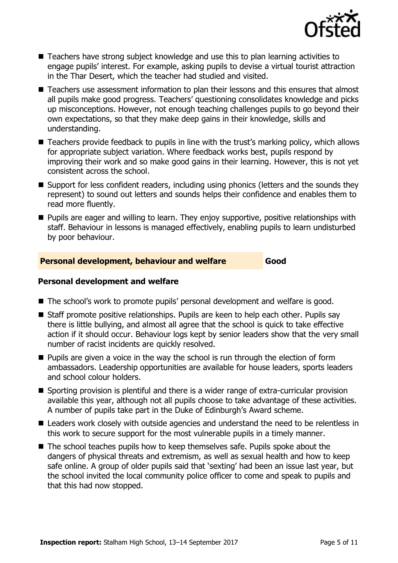

- Teachers have strong subject knowledge and use this to plan learning activities to engage pupils' interest. For example, asking pupils to devise a virtual tourist attraction in the Thar Desert, which the teacher had studied and visited.
- Teachers use assessment information to plan their lessons and this ensures that almost all pupils make good progress. Teachers' questioning consolidates knowledge and picks up misconceptions. However, not enough teaching challenges pupils to go beyond their own expectations, so that they make deep gains in their knowledge, skills and understanding.
- Teachers provide feedback to pupils in line with the trust's marking policy, which allows for appropriate subject variation. Where feedback works best, pupils respond by improving their work and so make good gains in their learning. However, this is not yet consistent across the school.
- Support for less confident readers, including using phonics (letters and the sounds they represent) to sound out letters and sounds helps their confidence and enables them to read more fluently.
- **Pupils are eager and willing to learn. They enjoy supportive, positive relationships with** staff. Behaviour in lessons is managed effectively, enabling pupils to learn undisturbed by poor behaviour.

#### **Personal development, behaviour and welfare Good**

### **Personal development and welfare**

- The school's work to promote pupils' personal development and welfare is good.
- Staff promote positive relationships. Pupils are keen to help each other. Pupils say there is little bullying, and almost all agree that the school is quick to take effective action if it should occur. Behaviour logs kept by senior leaders show that the very small number of racist incidents are quickly resolved.
- **Pupils are given a voice in the way the school is run through the election of form** ambassadors. Leadership opportunities are available for house leaders, sports leaders and school colour holders.
- Sporting provision is plentiful and there is a wider range of extra-curricular provision available this year, although not all pupils choose to take advantage of these activities. A number of pupils take part in the Duke of Edinburgh's Award scheme.
- Leaders work closely with outside agencies and understand the need to be relentless in this work to secure support for the most vulnerable pupils in a timely manner.
- The school teaches pupils how to keep themselves safe. Pupils spoke about the dangers of physical threats and extremism, as well as sexual health and how to keep safe online. A group of older pupils said that 'sexting' had been an issue last year, but the school invited the local community police officer to come and speak to pupils and that this had now stopped.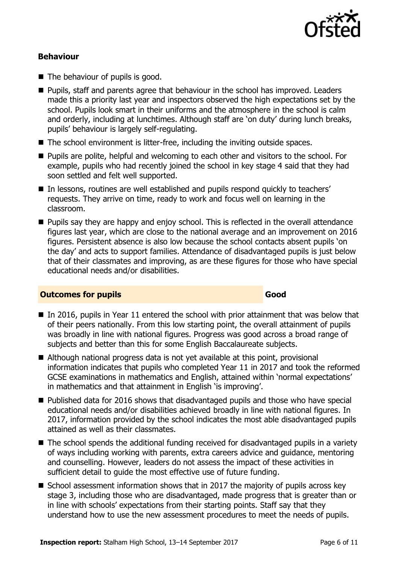

#### **Behaviour**

- The behaviour of pupils is good.
- **Pupils, staff and parents agree that behaviour in the school has improved. Leaders** made this a priority last year and inspectors observed the high expectations set by the school. Pupils look smart in their uniforms and the atmosphere in the school is calm and orderly, including at lunchtimes. Although staff are 'on duty' during lunch breaks, pupils' behaviour is largely self-regulating.
- The school environment is litter-free, including the inviting outside spaces.
- **Pupils are polite, helpful and welcoming to each other and visitors to the school. For** example, pupils who had recently joined the school in key stage 4 said that they had soon settled and felt well supported.
- In lessons, routines are well established and pupils respond quickly to teachers' requests. They arrive on time, ready to work and focus well on learning in the classroom.
- **Pupils say they are happy and enjoy school. This is reflected in the overall attendance** figures last year, which are close to the national average and an improvement on 2016 figures. Persistent absence is also low because the school contacts absent pupils 'on the day' and acts to support families. Attendance of disadvantaged pupils is just below that of their classmates and improving, as are these figures for those who have special educational needs and/or disabilities.

#### **Outcomes for pupils Good**

- $\blacksquare$  In 2016, pupils in Year 11 entered the school with prior attainment that was below that of their peers nationally. From this low starting point, the overall attainment of pupils was broadly in line with national figures. Progress was good across a broad range of subjects and better than this for some English Baccalaureate subjects.
- Although national progress data is not yet available at this point, provisional information indicates that pupils who completed Year 11 in 2017 and took the reformed GCSE examinations in mathematics and English, attained within 'normal expectations' in mathematics and that attainment in English 'is improving'.
- Published data for 2016 shows that disadvantaged pupils and those who have special educational needs and/or disabilities achieved broadly in line with national figures. In 2017, information provided by the school indicates the most able disadvantaged pupils attained as well as their classmates.
- The school spends the additional funding received for disadvantaged pupils in a variety of ways including working with parents, extra careers advice and guidance, mentoring and counselling. However, leaders do not assess the impact of these activities in sufficient detail to guide the most effective use of future funding.
- School assessment information shows that in 2017 the majority of pupils across key stage 3, including those who are disadvantaged, made progress that is greater than or in line with schools' expectations from their starting points. Staff say that they understand how to use the new assessment procedures to meet the needs of pupils.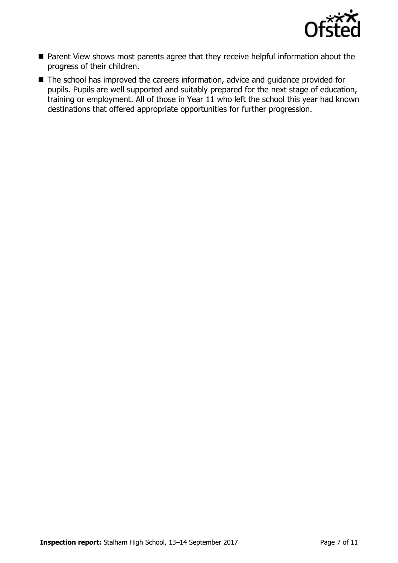

- Parent View shows most parents agree that they receive helpful information about the progress of their children.
- The school has improved the careers information, advice and guidance provided for pupils. Pupils are well supported and suitably prepared for the next stage of education, training or employment. All of those in Year 11 who left the school this year had known destinations that offered appropriate opportunities for further progression.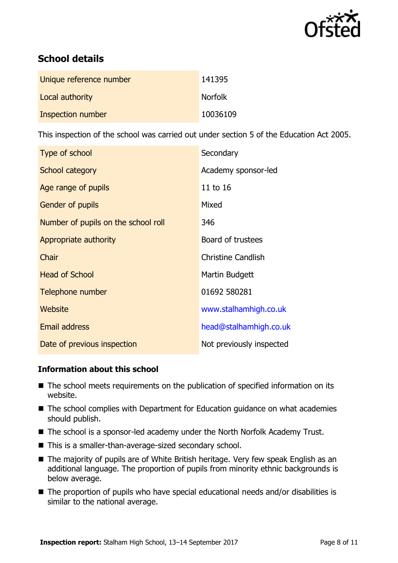

## **School details**

| Unique reference number | 141395         |
|-------------------------|----------------|
| Local authority         | <b>Norfolk</b> |
| Inspection number       | 10036109       |

This inspection of the school was carried out under section 5 of the Education Act 2005.

| Type of school                      | Secondary                 |  |
|-------------------------------------|---------------------------|--|
| School category                     | Academy sponsor-led       |  |
| Age range of pupils                 | 11 to 16                  |  |
| Gender of pupils                    | Mixed                     |  |
| Number of pupils on the school roll | 346                       |  |
| Appropriate authority               | Board of trustees         |  |
| Chair                               | <b>Christine Candlish</b> |  |
| <b>Head of School</b>               | Martin Budgett            |  |
| Telephone number                    | 01692 580281              |  |
| Website                             | www.stalhamhigh.co.uk     |  |
| <b>Email address</b>                | head@stalhamhigh.co.uk    |  |
| Date of previous inspection         | Not previously inspected  |  |

#### **Information about this school**

- The school meets requirements on the publication of specified information on its website.
- The school complies with Department for Education guidance on what academies should publish.
- The school is a sponsor-led academy under the North Norfolk Academy Trust.
- This is a smaller-than-average-sized secondary school.
- The majority of pupils are of White British heritage. Very few speak English as an additional language. The proportion of pupils from minority ethnic backgrounds is below average.
- The proportion of pupils who have special educational needs and/or disabilities is similar to the national average.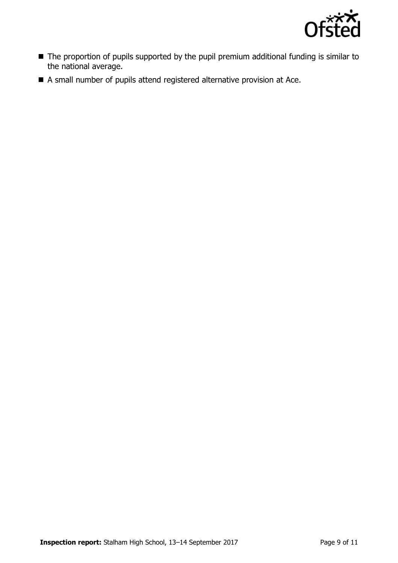

- The proportion of pupils supported by the pupil premium additional funding is similar to the national average.
- A small number of pupils attend registered alternative provision at Ace.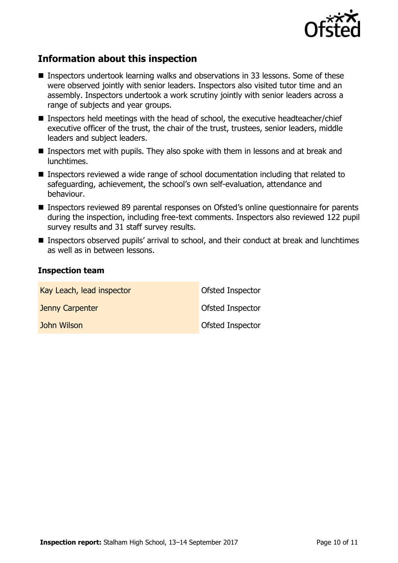

## **Information about this inspection**

- Inspectors undertook learning walks and observations in 33 lessons. Some of these were observed jointly with senior leaders. Inspectors also visited tutor time and an assembly. Inspectors undertook a work scrutiny jointly with senior leaders across a range of subjects and year groups.
- Inspectors held meetings with the head of school, the executive headteacher/chief executive officer of the trust, the chair of the trust, trustees, senior leaders, middle leaders and subject leaders.
- Inspectors met with pupils. They also spoke with them in lessons and at break and lunchtimes.
- Inspectors reviewed a wide range of school documentation including that related to safeguarding, achievement, the school's own self-evaluation, attendance and behaviour.
- Inspectors reviewed 89 parental responses on Ofsted's online questionnaire for parents during the inspection, including free-text comments. Inspectors also reviewed 122 pupil survey results and 31 staff survey results.
- Inspectors observed pupils' arrival to school, and their conduct at break and lunchtimes as well as in between lessons.

#### **Inspection team**

| Kay Leach, lead inspector | Ofsted Inspector |
|---------------------------|------------------|
| Jenny Carpenter           | Ofsted Inspector |
| John Wilson               | Ofsted Inspector |